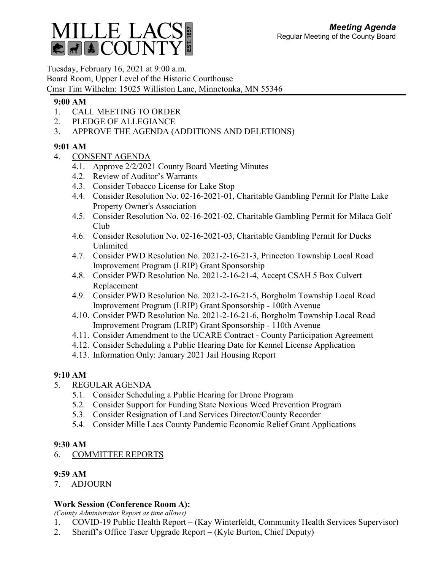

Tuesday, February 16, 2021 at 9:00 a.m. Board Room, Upper Level of the Historic Courthouse Cmsr Tim Wilhelm: 15025 Williston Lane, Minnetonka, MN 55346

#### **9:00 AM**

- 1. CALL MEETING TO ORDER
- 2. PLEDGE OF ALLEGIANCE
- 3. APPROVE THE AGENDA (ADDITIONS AND DELETIONS)

## **9:01 AM**

- 4. CONSENT AGENDA
	- 4.1. Approve 2/2/2021 County Board Meeting Minutes
	- 4.2. Review of Auditor's Warrants
	- 4.3. Consider Tobacco License for Lake Stop
	- 4.4. Consider Resolution No. 02-16-2021-01, Charitable Gambling Permit for Platte Lake Property Owner's Association
	- 4.5. Consider Resolution No. 02-16-2021-02, Charitable Gambling Permit for Milaca Golf Club
	- 4.6. Consider Resolution No. 02-16-2021-03, Charitable Gambling Permit for Ducks Unlimited
	- 4.7. Consider PWD Resolution No. 2021-2-16-21-3, Princeton Township Local Road Improvement Program (LRIP) Grant Sponsorship
	- 4.8. Consider PWD Resolution No. 2021-2-16-21-4, Accept CSAH 5 Box Culvert Replacement
	- 4.9. Consider PWD Resolution No. 2021-2-16-21-5, Borgholm Township Local Road Improvement Program (LRIP) Grant Sponsorship - 100th Avenue
	- 4.10. Consider PWD Resolution No. 2021-2-16-21-6, Borgholm Township Local Road Improvement Program (LRIP) Grant Sponsorship - 110th Avenue
	- 4.11. Consider Amendment to the UCARE Contract County Participation Agreement
	- 4.12. Consider Scheduling a Public Hearing Date for Kennel License Application
	- 4.13. Information Only: January 2021 Jail Housing Report

### **9:10 AM**

- 5. REGULAR AGENDA
	- 5.1. Consider Scheduling a Public Hearing for Drone Program
	- 5.2. Consider Support for Funding State Noxious Weed Prevention Program
	- 5.3. Consider Resignation of Land Services Director/County Recorder
	- 5.4. Consider Mille Lacs County Pandemic Economic Relief Grant Applications

### **9:30 AM**

# 6. COMMITTEE REPORTS

### **9:59 AM**

7. ADJOURN

### **Work Session (Conference Room A):**

*(County Administrator Report as time allows)*

- 1. COVID-19 Public Health Report (Kay Winterfeldt, Community Health Services Supervisor)
- 2. Sheriff's Office Taser Upgrade Report (Kyle Burton, Chief Deputy)